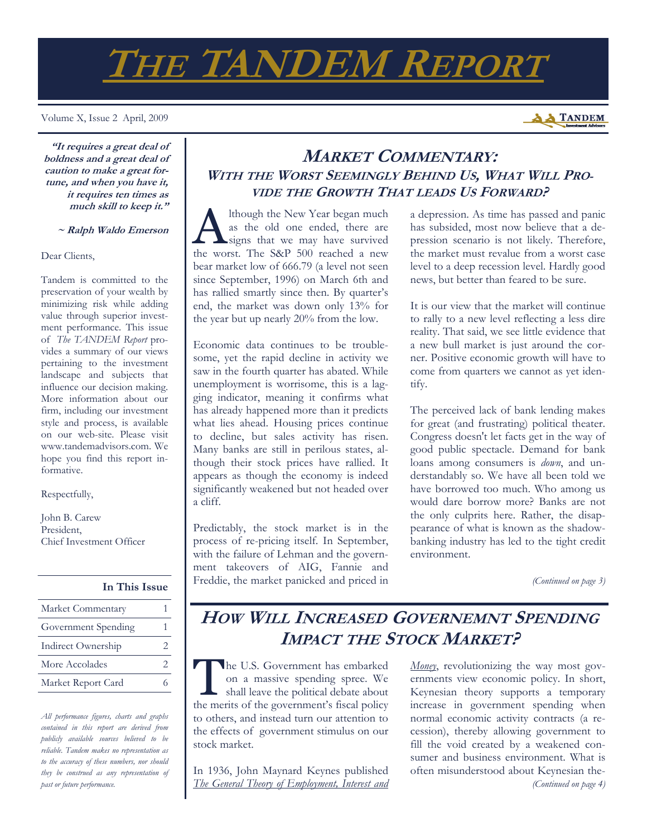# **THE TANDEM REPORT**

Volume X, Issue 2 April, 2009



**"It requires a great deal of boldness and a great deal of caution to make a great fortune, and when you have it, it requires ten times as much skill to keep it."** 

 **~ Ralph Waldo Emerson**

Dear Clients,

Tandem is committed to the preservation of your wealth by minimizing risk while adding value through superior investment performance. This issue of *The TANDEM Report* provides a summary of our views pertaining to the investment landscape and subjects that influence our decision making. More information about our firm, including our investment style and process, is available on our web-site. Please visit www.tandemadvisors.com. We hope you find this report informative.

Respectfully,

John B. Carew President, Chief Investment Officer

#### **In This Issue**

| Market Commentary   |                             |
|---------------------|-----------------------------|
| Government Spending |                             |
| Indirect Ownership  | $\mathcal{D}_{\mathcal{A}}$ |
| More Accolades      | $\mathcal{D}_{\mathcal{L}}$ |
| Market Report Card  |                             |

*All performance figures, charts and graphs contained in this report are derived from publicly available sources believed to be reliable. Tandem makes no representation as to the accuracy of these numbers, nor should they be construed as any representation of past or future performance.* 

## **MARKET COMMENTARY: WITH THE WORST SEEMINGLY BEHIND US, WHAT WILL PRO-VIDE THE GROWTH THAT LEADS US FORWARD?**

lthough the New Year began much as the old one ended, there are signs that we may have survived the worst. The S&P 500 reached a new bear market low of 666.79 (a level not seen since September, 1996) on March 6th and has rallied smartly since then. By quarter's end, the market was down only 13% for the year but up nearly 20% from the low.

Economic data continues to be troublesome, yet the rapid decline in activity we saw in the fourth quarter has abated. While unemployment is worrisome, this is a lagging indicator, meaning it confirms what has already happened more than it predicts what lies ahead. Housing prices continue to decline, but sales activity has risen. Many banks are still in perilous states, although their stock prices have rallied. It appears as though the economy is indeed significantly weakened but not headed over a cliff.

Predictably, the stock market is in the process of re-pricing itself. In September, with the failure of Lehman and the government takeovers of AIG, Fannie and Freddie, the market panicked and priced in a depression. As time has passed and panic has subsided, most now believe that a depression scenario is not likely. Therefore, the market must revalue from a worst case level to a deep recession level. Hardly good news, but better than feared to be sure.

It is our view that the market will continue to rally to a new level reflecting a less dire reality. That said, we see little evidence that a new bull market is just around the corner. Positive economic growth will have to come from quarters we cannot as yet identify.

The perceived lack of bank lending makes for great (and frustrating) political theater. Congress doesn't let facts get in the way of good public spectacle. Demand for bank loans among consumers is *down*, and understandably so. We have all been told we have borrowed too much. Who among us would dare borrow more? Banks are not the only culprits here. Rather, the disappearance of what is known as the shadowbanking industry has led to the tight credit environment.

*(Continued on page 3)* 

# **HOW WILL INCREASED GOVERNEMNT SPENDING IMPACT THE STOCK MARKET?**

The U.S. Government has embarked<br>
on a massive spending spree. We<br>
shall leave the political debate about<br>
the marite of the covernment's feared policy on a massive spending spree. We the merits of the government's fiscal policy to others, and instead turn our attention to the effects of government stimulus on our stock market.

In 1936, John Maynard Keynes published *The General Theory of Employment, Interest and*  *Money*, revolutionizing the way most governments view economic policy. In short, Keynesian theory supports a temporary increase in government spending when normal economic activity contracts (a recession), thereby allowing government to fill the void created by a weakened consumer and business environment. What is often misunderstood about Keynesian the- *(Continued on page 4)*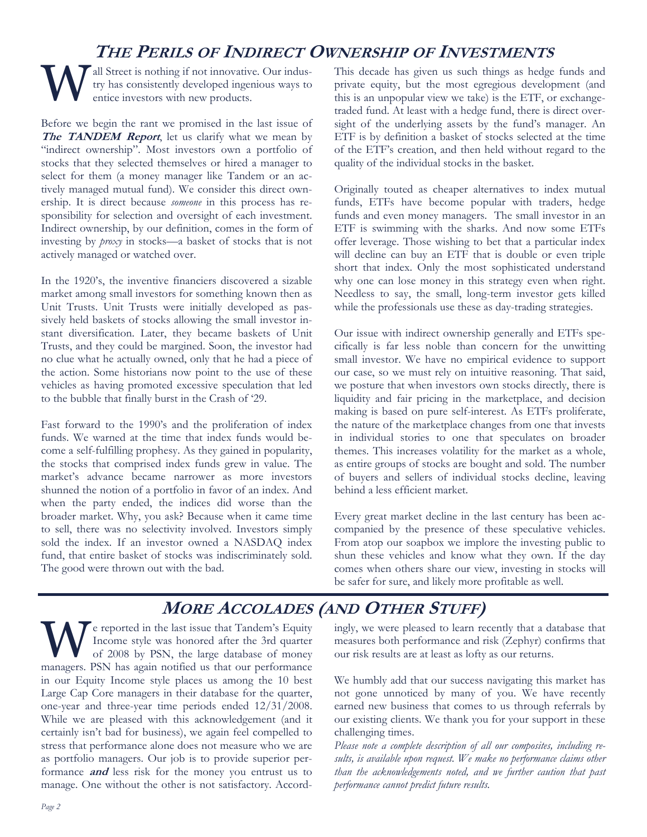# **THE PERILS OF INDIRECT OWNERSHIP OF INVESTMENTS**

all Street is nothing if not innovative. Our industry has consistently developed ingenious ways to entice investors with new products.

Before we begin the rant we promised in the last issue of The **TANDEM Report**, let us clarify what we mean by "indirect ownership". Most investors own a portfolio of stocks that they selected themselves or hired a manager to select for them (a money manager like Tandem or an actively managed mutual fund). We consider this direct ownership. It is direct because *someone* in this process has responsibility for selection and oversight of each investment. Indirect ownership, by our definition, comes in the form of investing by *proxy* in stocks—a basket of stocks that is not actively managed or watched over.

In the 1920's, the inventive financiers discovered a sizable market among small investors for something known then as Unit Trusts. Unit Trusts were initially developed as passively held baskets of stocks allowing the small investor instant diversification. Later, they became baskets of Unit Trusts, and they could be margined. Soon, the investor had no clue what he actually owned, only that he had a piece of the action. Some historians now point to the use of these vehicles as having promoted excessive speculation that led to the bubble that finally burst in the Crash of '29.

Fast forward to the 1990's and the proliferation of index funds. We warned at the time that index funds would become a self-fulfilling prophesy. As they gained in popularity, the stocks that comprised index funds grew in value. The market's advance became narrower as more investors shunned the notion of a portfolio in favor of an index. And when the party ended, the indices did worse than the broader market. Why, you ask? Because when it came time to sell, there was no selectivity involved. Investors simply sold the index. If an investor owned a NASDAQ index fund, that entire basket of stocks was indiscriminately sold. The good were thrown out with the bad.

This decade has given us such things as hedge funds and private equity, but the most egregious development (and this is an unpopular view we take) is the ETF, or exchangetraded fund. At least with a hedge fund, there is direct oversight of the underlying assets by the fund's manager. An ETF is by definition a basket of stocks selected at the time of the ETF's creation, and then held without regard to the quality of the individual stocks in the basket.

Originally touted as cheaper alternatives to index mutual funds, ETFs have become popular with traders, hedge funds and even money managers. The small investor in an ETF is swimming with the sharks. And now some ETFs offer leverage. Those wishing to bet that a particular index will decline can buy an ETF that is double or even triple short that index. Only the most sophisticated understand why one can lose money in this strategy even when right. Needless to say, the small, long-term investor gets killed while the professionals use these as day-trading strategies.

Our issue with indirect ownership generally and ETFs specifically is far less noble than concern for the unwitting small investor. We have no empirical evidence to support our case, so we must rely on intuitive reasoning. That said, we posture that when investors own stocks directly, there is liquidity and fair pricing in the marketplace, and decision making is based on pure self-interest. As ETFs proliferate, the nature of the marketplace changes from one that invests in individual stories to one that speculates on broader themes. This increases volatility for the market as a whole, as entire groups of stocks are bought and sold. The number of buyers and sellers of individual stocks decline, leaving behind a less efficient market.

Every great market decline in the last century has been accompanied by the presence of these speculative vehicles. From atop our soapbox we implore the investing public to shun these vehicles and know what they own. If the day comes when others share our view, investing in stocks will be safer for sure, and likely more profitable as well.

# **MORE ACCOLADES (AND OTHER STUFF)**

Te reported in the last issue that Tandem's Equity Income style was honored after the 3rd quarter of 2008 by PSN, the large database of money managers. PSN has again notified us that our performance in our Equity Income style places us among the 10 best Large Cap Core managers in their database for the quarter, one-year and three-year time periods ended 12/31/2008. While we are pleased with this acknowledgement (and it certainly isn't bad for business), we again feel compelled to stress that performance alone does not measure who we are as portfolio managers. Our job is to provide superior performance **and** less risk for the money you entrust us to manage. One without the other is not satisfactory. Accordingly, we were pleased to learn recently that a database that measures both performance and risk (Zephyr) confirms that our risk results are at least as lofty as our returns.

We humbly add that our success navigating this market has not gone unnoticed by many of you. We have recently earned new business that comes to us through referrals by our existing clients. We thank you for your support in these challenging times.

*Please note a complete description of all our composites, including results, is available upon request. We make no performance claims other than the acknowledgements noted, and we further caution that past performance cannot predict future results.*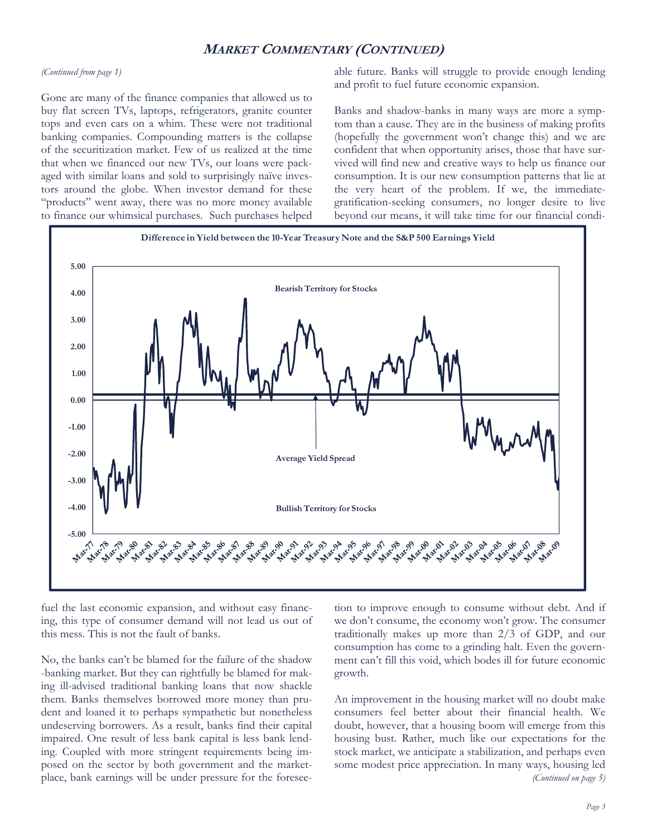## **MARKET COMMENTARY (CONTINUED)**

#### *(Continued from page 1)*

Gone are many of the finance companies that allowed us to buy flat screen TVs, laptops, refrigerators, granite counter tops and even cars on a whim. These were not traditional banking companies. Compounding matters is the collapse of the securitization market. Few of us realized at the time that when we financed our new TVs, our loans were packaged with similar loans and sold to surprisingly naïve investors around the globe. When investor demand for these "products" went away, there was no more money available to finance our whimsical purchases. Such purchases helped

able future. Banks will struggle to provide enough lending and profit to fuel future economic expansion.

Banks and shadow-banks in many ways are more a symptom than a cause. They are in the business of making profits (hopefully the government won't change this) and we are confident that when opportunity arises, those that have survived will find new and creative ways to help us finance our consumption. It is our new consumption patterns that lie at the very heart of the problem. If we, the immediategratification-seeking consumers, no longer desire to live beyond our means, it will take time for our financial condi-



fuel the last economic expansion, and without easy financing, this type of consumer demand will not lead us out of this mess. This is not the fault of banks.

No, the banks can't be blamed for the failure of the shadow -banking market. But they can rightfully be blamed for making ill-advised traditional banking loans that now shackle them. Banks themselves borrowed more money than prudent and loaned it to perhaps sympathetic but nonetheless undeserving borrowers. As a result, banks find their capital impaired. One result of less bank capital is less bank lending. Coupled with more stringent requirements being imposed on the sector by both government and the marketplace, bank earnings will be under pressure for the foreseetion to improve enough to consume without debt. And if we don't consume, the economy won't grow. The consumer traditionally makes up more than 2/3 of GDP, and our consumption has come to a grinding halt. Even the government can't fill this void, which bodes ill for future economic growth.

An improvement in the housing market will no doubt make consumers feel better about their financial health. We doubt, however, that a housing boom will emerge from this housing bust. Rather, much like our expectations for the stock market, we anticipate a stabilization, and perhaps even some modest price appreciation. In many ways, housing led *(Continued on page 5)*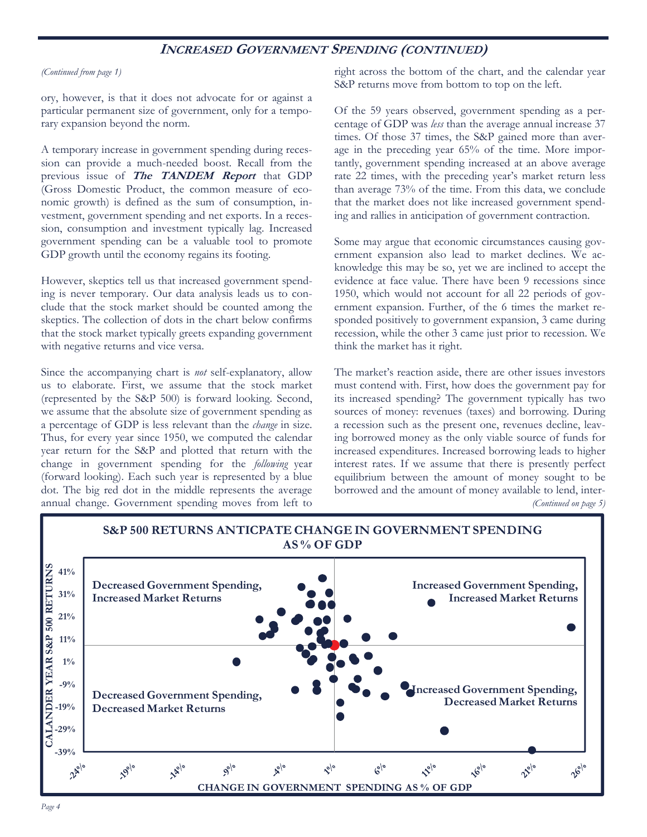## **INCREASED GOVERNMENT SPENDING (CONTINUED)**

#### *(Continued from page 1)*

ory, however, is that it does not advocate for or against a particular permanent size of government, only for a temporary expansion beyond the norm.

A temporary increase in government spending during recession can provide a much-needed boost. Recall from the previous issue of **The TANDEM Report** that GDP (Gross Domestic Product, the common measure of economic growth) is defined as the sum of consumption, investment, government spending and net exports. In a recession, consumption and investment typically lag. Increased government spending can be a valuable tool to promote GDP growth until the economy regains its footing.

However, skeptics tell us that increased government spending is never temporary. Our data analysis leads us to conclude that the stock market should be counted among the skeptics. The collection of dots in the chart below confirms that the stock market typically greets expanding government with negative returns and vice versa.

Since the accompanying chart is *not* self-explanatory, allow us to elaborate. First, we assume that the stock market (represented by the S&P 500) is forward looking. Second, we assume that the absolute size of government spending as a percentage of GDP is less relevant than the *change* in size. Thus, for every year since 1950, we computed the calendar year return for the S&P and plotted that return with the change in government spending for the *following* year (forward looking). Each such year is represented by a blue dot. The big red dot in the middle represents the average annual change. Government spending moves from left to

right across the bottom of the chart, and the calendar year S&P returns move from bottom to top on the left.

Of the 59 years observed, government spending as a percentage of GDP was *less* than the average annual increase 37 times. Of those 37 times, the S&P gained more than average in the preceding year 65% of the time. More importantly, government spending increased at an above average rate 22 times, with the preceding year's market return less than average 73% of the time. From this data, we conclude that the market does not like increased government spending and rallies in anticipation of government contraction.

Some may argue that economic circumstances causing government expansion also lead to market declines. We acknowledge this may be so, yet we are inclined to accept the evidence at face value. There have been 9 recessions since 1950, which would not account for all 22 periods of government expansion. Further, of the 6 times the market responded positively to government expansion, 3 came during recession, while the other 3 came just prior to recession. We think the market has it right.

The market's reaction aside, there are other issues investors must contend with. First, how does the government pay for its increased spending? The government typically has two sources of money: revenues (taxes) and borrowing. During a recession such as the present one, revenues decline, leaving borrowed money as the only viable source of funds for increased expenditures. Increased borrowing leads to higher interest rates. If we assume that there is presently perfect equilibrium between the amount of money sought to be borrowed and the amount of money available to lend, inter- *(Continued on page 5)* 

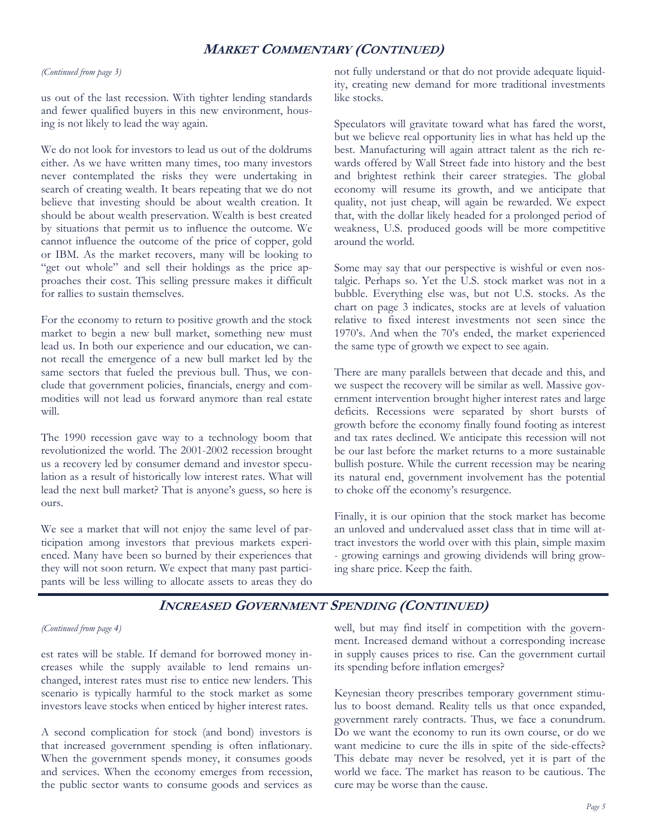## **MARKET COMMENTARY (CONTINUED)**

#### *(Continued from page 3)*

us out of the last recession. With tighter lending standards and fewer qualified buyers in this new environment, housing is not likely to lead the way again.

We do not look for investors to lead us out of the doldrums either. As we have written many times, too many investors never contemplated the risks they were undertaking in search of creating wealth. It bears repeating that we do not believe that investing should be about wealth creation. It should be about wealth preservation. Wealth is best created by situations that permit us to influence the outcome. We cannot influence the outcome of the price of copper, gold or IBM. As the market recovers, many will be looking to "get out whole" and sell their holdings as the price approaches their cost. This selling pressure makes it difficult for rallies to sustain themselves.

For the economy to return to positive growth and the stock market to begin a new bull market, something new must lead us. In both our experience and our education, we cannot recall the emergence of a new bull market led by the same sectors that fueled the previous bull. Thus, we conclude that government policies, financials, energy and commodities will not lead us forward anymore than real estate will.

The 1990 recession gave way to a technology boom that revolutionized the world. The 2001-2002 recession brought us a recovery led by consumer demand and investor speculation as a result of historically low interest rates. What will lead the next bull market? That is anyone's guess, so here is ours.

We see a market that will not enjoy the same level of participation among investors that previous markets experienced. Many have been so burned by their experiences that they will not soon return. We expect that many past participants will be less willing to allocate assets to areas they do not fully understand or that do not provide adequate liquidity, creating new demand for more traditional investments like stocks.

Speculators will gravitate toward what has fared the worst, but we believe real opportunity lies in what has held up the best. Manufacturing will again attract talent as the rich rewards offered by Wall Street fade into history and the best and brightest rethink their career strategies. The global economy will resume its growth, and we anticipate that quality, not just cheap, will again be rewarded. We expect that, with the dollar likely headed for a prolonged period of weakness, U.S. produced goods will be more competitive around the world.

Some may say that our perspective is wishful or even nostalgic. Perhaps so. Yet the U.S. stock market was not in a bubble. Everything else was, but not U.S. stocks. As the chart on page 3 indicates, stocks are at levels of valuation relative to fixed interest investments not seen since the 1970's. And when the 70's ended, the market experienced the same type of growth we expect to see again.

There are many parallels between that decade and this, and we suspect the recovery will be similar as well. Massive government intervention brought higher interest rates and large deficits. Recessions were separated by short bursts of growth before the economy finally found footing as interest and tax rates declined. We anticipate this recession will not be our last before the market returns to a more sustainable bullish posture. While the current recession may be nearing its natural end, government involvement has the potential to choke off the economy's resurgence.

Finally, it is our opinion that the stock market has become an unloved and undervalued asset class that in time will attract investors the world over with this plain, simple maxim - growing earnings and growing dividends will bring growing share price. Keep the faith.

### **INCREASED GOVERNMENT SPENDING (CONTINUED)**

#### *(Continued from page 4)*

est rates will be stable. If demand for borrowed money increases while the supply available to lend remains unchanged, interest rates must rise to entice new lenders. This scenario is typically harmful to the stock market as some investors leave stocks when enticed by higher interest rates.

A second complication for stock (and bond) investors is that increased government spending is often inflationary. When the government spends money, it consumes goods and services. When the economy emerges from recession, the public sector wants to consume goods and services as

well, but may find itself in competition with the government. Increased demand without a corresponding increase in supply causes prices to rise. Can the government curtail its spending before inflation emerges?

Keynesian theory prescribes temporary government stimulus to boost demand. Reality tells us that once expanded, government rarely contracts. Thus, we face a conundrum. Do we want the economy to run its own course, or do we want medicine to cure the ills in spite of the side-effects? This debate may never be resolved, yet it is part of the world we face. The market has reason to be cautious. The cure may be worse than the cause.